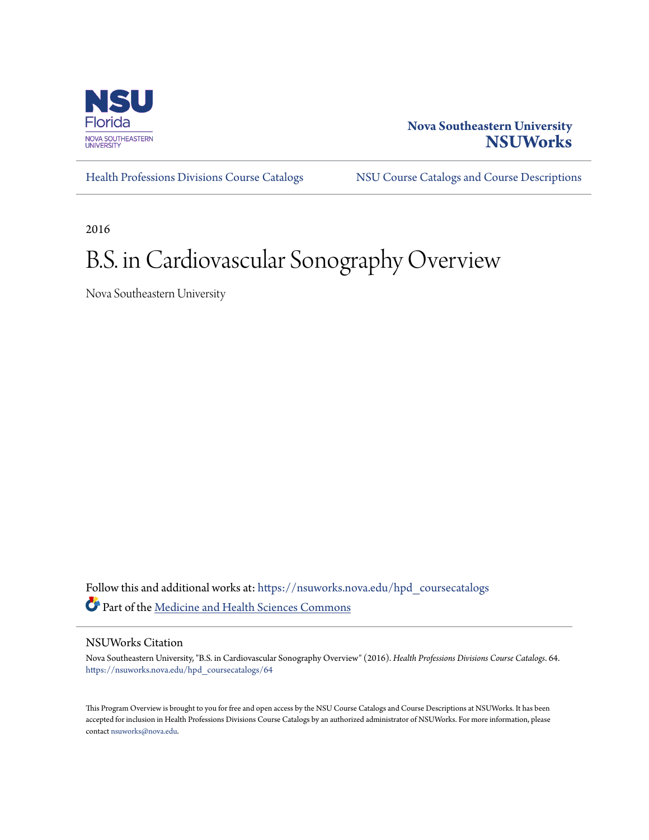

### **Nova Southeastern University [NSUWorks](https://nsuworks.nova.edu?utm_source=nsuworks.nova.edu%2Fhpd_coursecatalogs%2F64&utm_medium=PDF&utm_campaign=PDFCoverPages)**

[Health Professions Divisions Course Catalogs](https://nsuworks.nova.edu/hpd_coursecatalogs?utm_source=nsuworks.nova.edu%2Fhpd_coursecatalogs%2F64&utm_medium=PDF&utm_campaign=PDFCoverPages) [NSU Course Catalogs and Course Descriptions](https://nsuworks.nova.edu/nsu_catalogs?utm_source=nsuworks.nova.edu%2Fhpd_coursecatalogs%2F64&utm_medium=PDF&utm_campaign=PDFCoverPages)

2016

## B.S. in Cardiovascular Sonography Overview

Nova Southeastern University

Follow this and additional works at: [https://nsuworks.nova.edu/hpd\\_coursecatalogs](https://nsuworks.nova.edu/hpd_coursecatalogs?utm_source=nsuworks.nova.edu%2Fhpd_coursecatalogs%2F64&utm_medium=PDF&utm_campaign=PDFCoverPages) Part of the [Medicine and Health Sciences Commons](http://network.bepress.com/hgg/discipline/648?utm_source=nsuworks.nova.edu%2Fhpd_coursecatalogs%2F64&utm_medium=PDF&utm_campaign=PDFCoverPages)

#### NSUWorks Citation

Nova Southeastern University, "B.S. in Cardiovascular Sonography Overview" (2016). *Health Professions Divisions Course Catalogs*. 64. [https://nsuworks.nova.edu/hpd\\_coursecatalogs/64](https://nsuworks.nova.edu/hpd_coursecatalogs/64?utm_source=nsuworks.nova.edu%2Fhpd_coursecatalogs%2F64&utm_medium=PDF&utm_campaign=PDFCoverPages)

This Program Overview is brought to you for free and open access by the NSU Course Catalogs and Course Descriptions at NSUWorks. It has been accepted for inclusion in Health Professions Divisions Course Catalogs by an authorized administrator of NSUWorks. For more information, please contact [nsuworks@nova.edu](mailto:nsuworks@nova.edu).